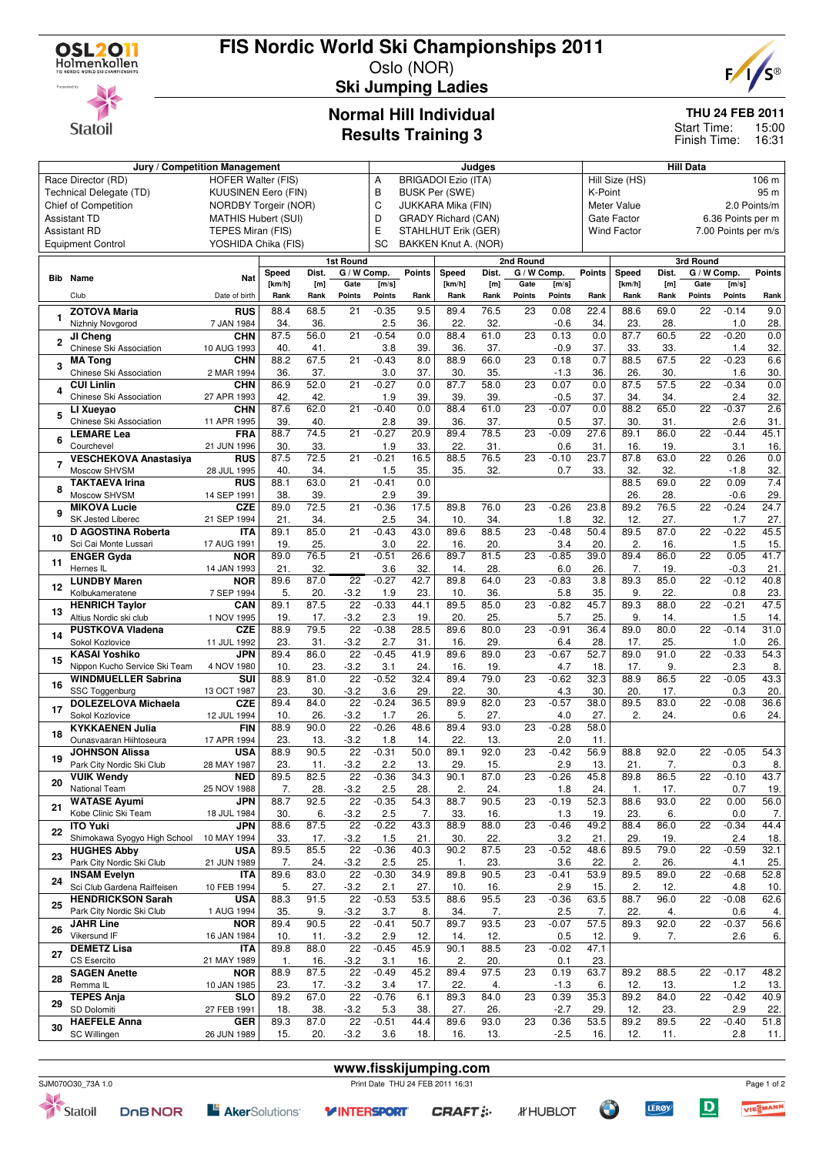

## **FIS Nordic World Ski Championships 2011**

Oslo (NOR) **Ski Jumping Ladies**



**THU 24 FEB 2011**

15:00 16:31 Start Time: Finish Time:

# **Normal Hill Individual**

|  | <b>Results Training 3</b> |  |
|--|---------------------------|--|
|--|---------------------------|--|

|                                                      | Jury / Competition Management            | Judges                          |        |            |                           |                                             |               | <b>Hill Data</b>           |                    |             |                |                        |                    |              |                 |                     |            |  |
|------------------------------------------------------|------------------------------------------|---------------------------------|--------|------------|---------------------------|---------------------------------------------|---------------|----------------------------|--------------------|-------------|----------------|------------------------|--------------------|--------------|-----------------|---------------------|------------|--|
| Race Director (RD)<br><b>HOFER Walter (FIS)</b><br>Α |                                          |                                 |        |            |                           |                                             |               | <b>BRIGADOI Ezio (ITA)</b> |                    |             |                | Hill Size (HS)<br>95 m |                    |              |                 |                     | 106 m      |  |
|                                                      | Technical Delegate (TD)                  | <b>KUUSINEN Eero (FIN)</b>      |        |            |                           | В<br><b>BUSK Per (SWE)</b>                  |               |                            |                    |             |                |                        | K-Point            |              |                 |                     |            |  |
|                                                      | Chief of Competition                     | С<br>NORDBY Torgeir (NOR)       |        |            |                           |                                             |               | JUKKARA Mika (FIN)         | <b>Meter Value</b> |             |                |                        |                    | 2.0 Points/m |                 |                     |            |  |
|                                                      | <b>Assistant TD</b>                      | D<br><b>MATHIS Hubert (SUI)</b> |        |            |                           |                                             |               |                            | Gate Factor        |             |                |                        | 6.36 Points per m  |              |                 |                     |            |  |
|                                                      |                                          |                                 |        |            |                           | <b>GRADY Richard (CAN)</b><br>E             |               |                            |                    |             |                |                        | <b>Wind Factor</b> |              |                 | 7.00 Points per m/s |            |  |
|                                                      | TEPES Miran (FIS)<br><b>Assistant RD</b> |                                 |        |            |                           | STAHLHUT Erik (GER)<br>BAKKEN Knut A. (NOR) |               |                            |                    |             |                |                        |                    |              |                 |                     |            |  |
|                                                      | <b>Equipment Control</b>                 | YOSHIDA Chika (FIS)             |        |            |                           | SC                                          |               |                            |                    |             |                |                        |                    |              |                 |                     |            |  |
|                                                      |                                          |                                 |        |            | 1st Round                 |                                             |               |                            |                    | 2nd Round   |                |                        |                    |              | 3rd Round       |                     |            |  |
|                                                      |                                          |                                 | Speed  | Dist.      | G / W Comp.               |                                             | <b>Points</b> | Speed                      | Dist.              | G / W Comp. |                | <b>Points</b>          | Speed              | Dist.        | G / W Comp.     |                     | Points     |  |
|                                                      | <b>Bib</b> Name                          | Nat                             | [km/h] | [m]        | Gate                      | [m/s]                                       |               | [km/h]                     | [m]                | Gate        | [m/s]          |                        | [km/h]             | [m]          | Gate            | [m/s]               |            |  |
|                                                      | Club                                     | Date of birth                   | Rank   | Rank       | Points                    | <b>Points</b>                               | Rank          | Rank                       | Rank               | Points      | Points         | Rank                   | Rank               | Rank         | <b>Points</b>   | <b>Points</b>       | Rank       |  |
|                                                      |                                          |                                 |        |            |                           |                                             |               |                            |                    |             |                |                        |                    |              |                 |                     |            |  |
| 1                                                    | <b>ZOTOVA Maria</b>                      | <b>RUS</b>                      | 88.4   | 68.5       | 21                        | $-0.35$                                     | 9.5           | 89.4                       | 76.5               | 23          | 0.08           | 22.4                   | 88.6               | 69.0         | 22              | $-0.14$             | 9.0        |  |
|                                                      | Nizhniy Novgorod                         | 7 JAN 1984                      | 34.    | 36.        |                           | 2.5                                         | 36.           | 22.                        | 32.                |             | $-0.6$         | 34.                    | 23.                | 28.          |                 | 1.0                 | 28.        |  |
| 2                                                    | JI Cheng                                 | <b>CHN</b>                      | 87.5   | 56.0       | 21                        | $-0.54$                                     | 0.0           | 88.4                       | 61.0               | 23          | 0.13           | 0.0                    | 87.7               | 60.5         | 22              | $-0.20$             | 0.0        |  |
|                                                      | Chinese Ski Association                  | 10 AUG 1993                     | 40.    | 41.        |                           | 3.8                                         | 39.           | 36.                        | 37.                |             | $-0.9$         | 37.                    | 33.                | 33.          |                 | 1.4                 | 32.        |  |
| 3                                                    | <b>MA Tong</b>                           | <b>CHN</b>                      | 88.2   | 67.5       | 21                        | $-0.43$                                     | 8.0           | 88.9                       | 66.0               | 23          | 0.18           | 0.7                    | 88.5               | 67.5         | $\overline{22}$ | $-0.23$             | 6.6        |  |
|                                                      | Chinese Ski Association                  | 2 MAR 1994                      | 36.    | 37.        |                           | 3.0                                         | 37.           | 30.                        | 35.                |             | $-1.3$         | 36.                    | 26.                | 30.          |                 | 1.6                 | 30.        |  |
|                                                      | <b>CUI Linlin</b>                        | <b>CHN</b>                      | 86.9   | 52.0       | 21                        | $-0.27$                                     | 0.0           | 87.7                       | 58.0               | 23          | 0.07           | 0.0                    | 87.5               | 57.5         | 22              | $-0.34$             | 0.0        |  |
| 4                                                    | Chinese Ski Association                  | 27 APR 1993                     | 42.    | 42.        |                           | 1.9                                         | 39.           | 39.                        | 39.                |             | $-0.5$         | 37.                    | 34.                | 34.          |                 | 2.4                 | 32.        |  |
|                                                      | LI Xueyao                                | <b>CHN</b>                      | 87.6   | 62.0       | 21                        | $-0.40$                                     | 0.0           | 88.4                       | 61.0               | 23          | $-0.07$        | 0.0                    | 88.2               | 65.0         | 22              | $-0.37$             | 2.6        |  |
| 5                                                    | Chinese Ski Association                  | 11 APR 1995                     | 39.    | 40.        |                           | 2.8                                         | 39.           | 36.                        | 37.                |             | 0.5            | 37.                    | 30.                | 31.          |                 | 2.6                 | 31.        |  |
|                                                      | <b>LEMARE Lea</b>                        | FRA                             | 88.7   | 74.5       | 21                        | $-0.27$                                     | 20.9          | 89.4                       | 78.5               | 23          | $-0.09$        | $\overline{27.6}$      | 89.1               | 86.0         | $\overline{22}$ | $-0.44$             | 45.1       |  |
| 6                                                    | Courchevel                               | 21 JUN 1996                     | 30.    | 33.        |                           | 1.9                                         | 33.           | 22.                        | 31.                |             | 0.6            | 31.                    | 16.                | 19.          |                 | 3.1                 | 16.        |  |
|                                                      | <b>VESCHEKOVA Anastasiya</b>             | <b>RUS</b>                      | 87.5   | 72.5       | 21                        | $-0.21$                                     | 16.5          | 88.5                       | 76.5               | 23          | $-0.10$        | 23.7                   | 87.8               | 63.0         | 22              | 0.26                | 0.0        |  |
| $\overline{7}$                                       | Moscow SHVSM                             | 28 JUL 1995                     |        |            |                           |                                             |               |                            |                    |             |                |                        |                    |              |                 |                     |            |  |
|                                                      |                                          |                                 | 40.    | 34.        |                           | 1.5                                         | 35.           | 35.                        | 32.                |             | 0.7            | 33.                    | 32.                | 32.          | 22              | $-1.8$              | 32.        |  |
| 8                                                    | <b>TAKTAEVA Irina</b>                    | <b>RUS</b>                      | 88.1   | 63.0       | 21                        | $-0.41$                                     | 0.0           |                            |                    |             |                |                        | 88.5               | 69.0         |                 | 0.09                | 7.4        |  |
|                                                      | Moscow SHVSM                             | 14 SEP 1991                     | 38.    | 39.        |                           | 2.9                                         | 39.           |                            |                    |             |                |                        | 26.                | 28.          |                 | $-0.6$              | 29.        |  |
| 9                                                    | <b>MIKOVA Lucie</b>                      | <b>CZE</b>                      | 89.0   | 72.5       | 21                        | $-0.36$                                     | 17.5          | 89.8                       | 76.0               | 23          | $-0.26$        | 23.8                   | 89.2               | 76.5         | 22              | $-0.24$             | 24.7       |  |
|                                                      | SK Jested Liberec                        | 21 SEP 1994                     | 21.    | 34.        |                           | 2.5                                         | 34.           | 10.                        | 34.                |             | 1.8            | 32.                    | 12.                | 27.          |                 | 1.7                 | 27.        |  |
| 10                                                   | D AGOSTINA Roberta                       | <b>ITA</b>                      | 89.1   | 85.0       | 21                        | $-0.43$                                     | 43.0          | 89.6                       | 88.5               | 23          | $-0.48$        | 50.4                   | 89.5               | 87.0         | 22              | $-0.22$             | 45.5       |  |
|                                                      | Sci Cai Monte Lussari                    | 17 AUG 1991                     | 19.    | 25.        |                           | 3.0                                         | 22.           | 16.                        | 20.                |             | 3.4            | 20.                    | 2.                 | 16.          |                 | 1.5                 | 15.        |  |
|                                                      | <b>ENGER Gyda</b>                        | <b>NOR</b>                      | 89.0   | 76.5       | $\overline{21}$           | $-0.51$                                     | 26.6          | 89.7                       | 81.5               | 23          | $-0.85$        | 39.0                   | 89.4               | 86.0         | $\overline{22}$ | 0.05                | 41.7       |  |
| 11                                                   | Hernes IL                                | 14 JAN 1993                     | 21.    | 32.        |                           | 3.6                                         | 32.           | 14.                        | 28.                |             | 6.0            | 26.                    | 7.                 | 19.          |                 | $-0.3$              | 21.        |  |
|                                                      | <b>LUNDBY Maren</b>                      | <b>NOR</b>                      | 89.6   | 87.0       | $\overline{22}$           | $-0.27$                                     | 42.7          | 89.8                       | 64.0               | 23          | $-0.83$        | $\overline{3.8}$       | 89.3               | 85.0         | $\overline{22}$ | $-0.12$             | 40.8       |  |
| 12                                                   | Kolbukameratene                          | 7 SEP 1994                      | 5.     | 20.        | $-3.2$                    | 1.9                                         | 23.           | 10.                        | 36.                |             | 5.8            | 35.                    | 9.                 | 22.          |                 | 0.8                 | 23.        |  |
|                                                      | <b>HENRICH Taylor</b>                    | CAN                             | 89.1   | 87.5       | $\overline{22}$           | $-0.33$                                     | 44.1          | 89.5                       | 85.0               | 23          | $-0.82$        | 45.7                   | 89.3               | 88.0         | 22              | $-0.21$             | 47.5       |  |
| 13                                                   | Altius Nordic ski club                   | 1 NOV 1995                      | 19.    | 17.        | $-3.2$                    | 2.3                                         | 19.           | 20.                        | 25.                |             | 5.7            | 25.                    | 9.                 | 14.          |                 | 1.5                 | 14.        |  |
|                                                      |                                          |                                 | 88.9   | 79.5       | $\overline{22}$           | $-0.38$                                     | 28.5          | 89.6                       | 80.0               | 23          | $-0.91$        | 36.4                   | 89.0               | 80.0         | $\overline{22}$ | $-0.14$             | 31.0       |  |
| 14                                                   | <b>PUSTKOVA Vladena</b>                  | CZE                             |        |            |                           |                                             |               |                            |                    |             |                |                        |                    |              |                 |                     |            |  |
|                                                      | Sokol Kozlovice                          | 11 JUL 1992                     | 23.    | 31.        | $-3.2$                    | 2.7                                         | 31.           | 16.                        | 29.                |             | 6.4            | 28.                    | 17.                | 25.          |                 | 1.0                 | 26.        |  |
| 15                                                   | <b>KASAI Yoshiko</b>                     | <b>JPN</b>                      | 89.4   | 86.0       | $\overline{22}$           | $-0.45$                                     | 41.9          | 89.6                       | 89.0               | 23          | $-0.67$        | 52.7                   | 89.0               | 91.0         | 22              | $-0.33$             | 54.3       |  |
|                                                      | Nippon Kucho Service Ski Team            | 4 NOV 1980                      | 10.    | 23.        | $-3.2$                    | 3.1                                         | 24.           | 16.                        | 19.                |             | 4.7            | 18.                    | 17.                | 9.           |                 | 2.3                 | 8.         |  |
| 16                                                   | <b>WINDMUELLER Sabrina</b>               | SUI                             | 88.9   | 81.0       | 22                        | $-0.52$                                     | 32.4          | 89.4                       | 79.0               | 23          | $-0.62$        | 32.3                   | 88.9               | 86.5         | 22              | $-0.05$             | 43.3       |  |
|                                                      | SSC Toggenburg                           | 13 OCT 1987                     | 23.    | 30.        | $-3.2$                    | 3.6                                         | 29.           | 22.                        | 30.                |             | 4.3            | 30.                    | 20.                | 17.          |                 | 0.3                 | 20.        |  |
| 17                                                   | <b>DOLEZELOVA Michaela</b>               | CZE                             | 89.4   | 84.0       | $\overline{22}$           | $-0.24$                                     | 36.5          | 89.9                       | 82.0               | 23          | $-0.57$        | 38.0                   | 89.5               | 83.0         | 22              | $-0.08$             | 36.6       |  |
|                                                      | Sokol Kozlovice                          | 12 JUL 1994                     | 10.    | 26.        | $-3.2$                    | 1.7                                         | 26.           | 5.                         | 27.                |             | 4.0            | 27.                    | 2.                 | 24.          |                 | 0.6                 | 24.        |  |
|                                                      | <b>KYKKAENEN Julia</b>                   | <b>FIN</b>                      | 88.9   | 90.0       | 22                        | $-0.26$                                     | 48.6          | 89.4                       | 93.0               | 23          | $-0.28$        | 58.0                   |                    |              |                 |                     |            |  |
| 18                                                   | Ounasvaaran Hiihtoseura                  | 17 APR 1994                     | 23.    | 13.        | $-3.2$                    | 1.8                                         | 14.           | 22.                        | 13.                |             | 2.0            | 11.                    |                    |              |                 |                     |            |  |
|                                                      | <b>JOHNSON Alissa</b>                    | USA                             | 88.9   | 90.5       | $\overline{22}$           | $-0.31$                                     | 50.0          | 89.1                       | 92.0               | 23          | $-0.42$        | 56.9                   | 88.8               | 92.0         | 22              | $-0.05$             | 54.3       |  |
| 19                                                   | Park City Nordic Ski Club                | 28 MAY 1987                     | 23.    | 11.        | $-3.2$                    | 2.2                                         | 13.           | 29.                        | 15.                |             | 2.9            | 13.                    | 21.                | 7.           |                 | 0.3                 | 8.         |  |
|                                                      | <b>VUIK Wendy</b>                        | <b>NED</b>                      | 89.5   | 82.5       | $\overline{22}$           | $-0.36$                                     | 34.3          | 90.1                       | 87.0               | 23          | $-0.26$        | 45.8                   | 89.8               | 86.5         | 22              | $-0.10$             | 43.7       |  |
| 20                                                   | National Team                            | 25 NOV 1988                     | 7.     | 28.        | $-3.2$                    | 2.5                                         | 28.           | 2.                         | 24.                |             | 1.8            | 24.                    | 1.                 | 17.          |                 | 0.7                 | 19.        |  |
|                                                      | <b>WATASE Ayumi</b>                      | <b>JPN</b>                      | 88.7   | 92.5       | 22                        | $-0.35$                                     | 54.3          | 88.7                       | 90.5               | 23          | $-0.19$        | 52.3                   | 88.6               | 93.0         | 22              | 0.00                | 56.0       |  |
| 21                                                   | Kobe Clinic Ski Team                     | 18 JUL 1984                     |        |            |                           |                                             |               |                            |                    |             |                |                        |                    |              |                 | 0.0                 |            |  |
|                                                      |                                          |                                 | 30.    | 6.<br>87.5 | $-3.2$<br>$\overline{22}$ | 2.5<br>$-0.22$                              | 7.<br>43.3    | 33.<br>88.9                | 16.<br>88.0        | 23          | 1.3<br>$-0.46$ | 19.<br>49.2            | 23.<br>88.4        | 6.<br>86.0   | $\overline{22}$ | $-0.34$             | 7.<br>44.4 |  |
| 22                                                   | <b>ITO Yuki</b>                          | <b>JPN</b>                      | 88.6   |            |                           |                                             |               |                            |                    |             |                |                        |                    |              |                 |                     |            |  |
|                                                      | Shimokawa Syogyo High School             | 10 MAY 1994                     | 33.    | 17.        | $-3.2$                    | 1.5                                         | 21.           | 30.                        | 22.                |             | 3.2            | 21.                    | 29.                | 19.          |                 | 2.4                 | 18.        |  |
| 23                                                   | <b>HUGHES Abby</b>                       | <b>USA</b>                      | 89.5   | 85.5       | $\overline{22}$           | $-0.36$                                     | 40.3          | 90.2                       | 87.5               | 23          | $-0.52$        | 48.6                   | 89.5               | 79.0         | $\overline{22}$ | $-0.59$             | 32.1       |  |
|                                                      | Park City Nordic Ski Club                | 21 JUN 1989                     | 7.     | 24.        | $-3.2$                    | 2.5                                         | 25.           | 1.                         | 23.                |             | 3.6            | 22.                    | 2.                 | 26.          |                 | 4.1                 | 25.        |  |
| 24                                                   | <b>INSAM Evelyn</b>                      | <b>ITA</b>                      | 89.6   | 83.0       | 22                        | $-0.30$                                     | 34.9          | 89.8                       | 90.5               | 23          | $-0.41$        | 53.9                   | 89.5               | 89.0         | 22              | $-0.68$             | 52.8       |  |
|                                                      | Sci Club Gardena Raiffeisen              | 10 FEB 1994                     | 5.     | 27.        | $-3.2$                    | 2.1                                         | 27.           | 10.                        | 16.                |             | 2.9            | 15.                    | 2.                 | 12.          |                 | 4.8                 | 10.        |  |
|                                                      | <b>HENDRICKSON Sarah</b>                 | <b>USA</b>                      | 88.3   | 91.5       | 22                        | $-0.53$                                     | 53.5          | 88.6                       | 95.5               | 23          | $-0.36$        | 63.5                   | 88.7               | 96.0         | $\overline{22}$ | $-0.08$             | 62.6       |  |
| 25                                                   | Park City Nordic Ski Club                | 1 AUG 1994                      | 35.    | 9.         | $-3.2$                    | 3.7                                         | 8.            | 34.                        | 7.                 |             | 2.5            | 7.                     | 22.                | 4.           |                 | 0.6                 | 4.         |  |
|                                                      | <b>JAHR Line</b>                         | <b>NOR</b>                      | 89.4   | 90.5       | 22                        | $-0.41$                                     | 50.7          | 89.7                       | 93.5               | 23          | $-0.07$        | 57.5                   | 89.3               | 92.0         | 22              | $-0.37$             | 56.6       |  |
| 26                                                   | Vikersund IF                             | 16 JAN 1984                     | 10.    | 11.        | $-3.2$                    | 2.9                                         | 12.           | 14.                        | 12.                |             | 0.5            | 12.                    | 9.                 | 7.           |                 | 2.6                 | 6.         |  |
|                                                      | <b>DEMETZ Lisa</b>                       | <b>ITA</b>                      | 89.8   | 88.0       | 22                        | $-0.45$                                     | 45.9          | 90.1                       | 88.5               | 23          | $-0.02$        | 47.1                   |                    |              |                 |                     |            |  |
| 27                                                   | CS Esercito                              | 21 MAY 1989                     | 1.     | 16.        | $-3.2$                    | 3.1                                         | 16.           | 2.                         | 20.                |             | 0.1            | 23.                    |                    |              |                 |                     |            |  |
|                                                      | <b>SAGEN Anette</b>                      | <b>NOR</b>                      | 88.9   | 87.5       | $\overline{22}$           | $-0.49$                                     | 45.2          | 89.4                       | 97.5               | 23          | 0.19           | 63.7                   | 89.2               | 88.5         | $\overline{22}$ | $-0.17$             | 48.2       |  |
| 28                                                   | Remma IL                                 |                                 | 23.    | 17.        | $-3.2$                    |                                             | 17.           | 22.                        | 4.                 |             |                | 6.                     | 12.                |              |                 | $1.2$               |            |  |
|                                                      |                                          | 10 JAN 1985                     |        |            |                           | 3.4                                         |               |                            |                    |             | $-1.3$         |                        |                    | 13.          |                 |                     | 13.        |  |
| 29                                                   | <b>TEPES Anja</b>                        | <b>SLO</b>                      | 89.2   | 67.0       | 22                        | $-0.76$                                     | 6.1           | 89.3                       | 84.0               | 23          | 0.39           | 35.3                   | 89.2               | 84.0         | 22              | $-0.42$             | 40.9       |  |
|                                                      | SD Dolomiti                              | 27 FEB 1991                     | 18.    | 38.        | $-3.2$                    | 5.3                                         | 38.           | 27.                        | 26.                |             | $-2.7$         | 29.                    | 12.                | 23.          |                 | 2.9                 | 22.        |  |
| 30                                                   | <b>HAEFELE Anna</b>                      | <b>GER</b>                      | 89.3   | 87.0       | $\overline{22}$           | $-0.51$                                     | 44.4          | 89.6                       | 93.0               | 23          | 0.36           | 53.5                   | 89.2               | 89.5         | 22              | $-0.40$             | 51.8       |  |
|                                                      | SC Willingen                             | 26 JUN 1989                     | 15.    | 20.        | $-3.2$                    | 3.6                                         | 18.           | 16.                        | 13.                |             | $-2.5$         | 16.                    | 12.                | 11.          |                 | 2.8                 | 11.        |  |





**Y INTERSPORT** 

**CRAFT: :-**

**www.fisskijumping.com**